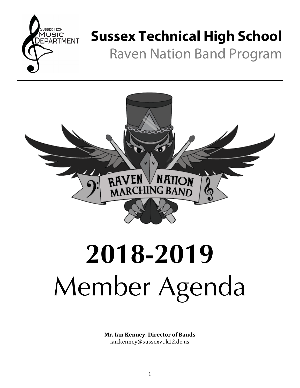

# **Sussex Technical High School**

Raven Nation Band Program



# **2018-2019** Member Agenda

**Mr. Ian Kenney, Director of Bands** ian.kenney@sussexvt.k12.de.us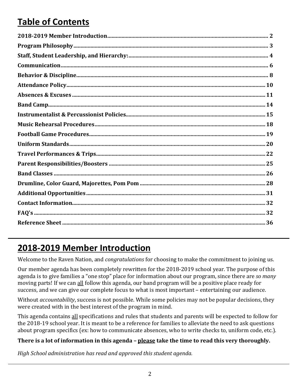# **Table of Contents**

# **2018-2019 Member Introduction**

Welcome to the Raven Nation, and *congratulations* for choosing to make the commitment to joining us.

Our member agenda has been completely rewritten for the 2018-2019 school year. The purpose of this agenda is to give families a "one stop" place for information about our program, since there are *so many* moving parts! If we can all follow this agenda, our band program will be a positive place ready for success, and we can give our complete focus to what is most important - entertaining our audience.

Without *accountability*, success is not possible. While some policies may not be popular decisions, they were created with in the best interest of the program in mind.

This agenda contains all specifications and rules that students and parents will be expected to follow for the 2018-19 school year. It is meant to be a reference for families to alleviate the need to ask questions about program specifics (ex: how to communicate absences, who to write checks to, uniform code, etc.).

#### **There** is a lot of information in this agenda – please take the time to read this very thoroughly.

*High School administration has read and approved this student agenda.*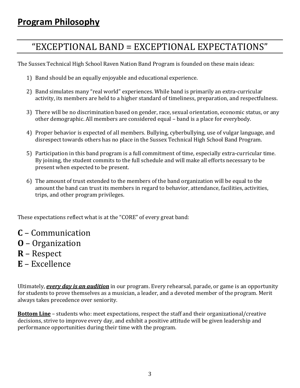# "EXCEPTIONAL BAND = EXCEPTIONAL EXPECTATIONS"

The Sussex Technical High School Raven Nation Band Program is founded on these main ideas:

- 1) Band should be an equally enjoyable and educational experience.
- 2) Band simulates many "real world" experiences. While band is primarily an extra-curricular activity, its members are held to a higher standard of timeliness, preparation, and respectfulness.
- 3) There will be no discrimination based on gender, race, sexual orientation, economic status, or any other demographic. All members are considered equal – band is a place for everybody.
- 4) Proper behavior is expected of all members. Bullying, cyberbullying, use of vulgar language, and disrespect towards others has no place in the Sussex Technical High School Band Program.
- 5) Participation in this band program is a full commitment of time, especially extra-curricular time. By joining, the student commits to the full schedule and will make all efforts necessary to be present when expected to be present.
- 6) The amount of trust extended to the members of the band organization will be equal to the amount the band can trust its members in regard to behavior, attendance, facilities, activities, trips, and other program privileges.

These expectations reflect what is at the "CORE" of every great band:

- **C** Communication
- **O** Organization
- **R** Respect
- **E** Excellence

Ultimately, *every day is an audition* in our program. Every rehearsal, parade, or game is an opportunity for students to prove themselves as a musician, a leader, and a devoted member of the program. Merit always takes precedence over seniority.

**Bottom Line** – students who: meet expectations, respect the staff and their organizational/creative decisions, strive to improve every day, and exhibit a positive attitude will be given leadership and performance opportunities during their time with the program.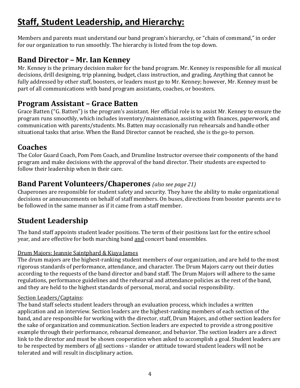# **Staff, Student Leadership, and Hierarchy:**

Members and parents must understand our band program's hierarchy, or "chain of command," in order for our organization to run smoothly. The hierarchy is listed from the top down.

## **Band Director – Mr. Ian Kenney**

Mr. Kenney is the primary decision maker for the band program. Mr. Kenney is responsible for all musical decisions, drill designing, trip planning, budget, class instruction, and grading, Anything that cannot be fully addressed by other staff, boosters, or leaders must go to Mr. Kenney; however, Mr. Kenney must be part of all communications with band program assistants, coaches, or boosters.

## **Program Assistant – Grace Batten**

Grace Batten ("G. Batten") is the program's assistant. Her official role is to assist Mr. Kenney to ensure the program runs smoothly, which includes inventory/maintenance, assisting with finances, paperwork, and communication with parents/students. Ms. Batten may occasionally run rehearsals and handle other situational tasks that arise. When the Band Director cannot be reached, she is the go-to person.

## **Coaches**

The Color Guard Coach, Pom Pom Coach, and Drumline Instructor oversee their components of the band program and make decisions with the approval of the band director. Their students are expected to follow their leadership when in their care.

## **Band Parent Volunteers/Chaperones** *(also see page 21)*

Chaperones are responsible for student safety and security. They have the ability to make organizational decisions or announcements on behalf of staff members. On buses, directions from booster parents are to be followed in the same manner as if it came from a staff member.

## **Student Leadership**

The band staff appoints student leader positions. The term of their positions last for the entire school year, and are effective for both marching band and concert band ensembles.

#### Drum Majors: Jeannie Saintphard & Kiaya James

The drum majors are the highest-ranking student members of our organization, and are held to the most rigorous standards of performance, attendance, and character. The Drum Majors carry out their duties according to the requests of the band director and band staff. The Drum Majors will adhere to the same regulations, performance guidelines and the rehearsal and attendance policies as the rest of the band, and they are held to the highest standards of personal, moral, and social responsibility.

#### Section Leaders/Captains:

The band staff selects student leaders through an evaluation process, which includes a written application and an interview. Section leaders are the highest-ranking members of each section of the band, and are responsible for working with the director, staff, Drum Majors, and other section leaders for the sake of organization and communication. Section leaders are expected to provide a strong positive example through their performance, rehearsal demeanor, and behavior. The section leaders are a direct link to the director and must be shown cooperation when asked to accomplish a goal. Student leaders are to be respected by members of all sections - slander or attitude toward student leaders will not be tolerated and will result in disciplinary action.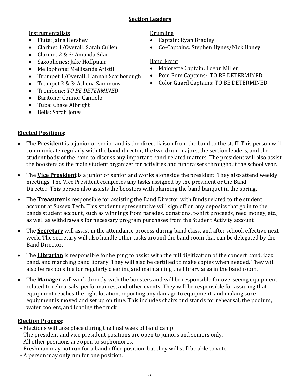#### **Section Leaders**

Instrumentalists

- Flute: Jaina Hershey
- Clarinet 1/Overall: Sarah Cullen
- Clarinet 2 & 3: Amanda Silar
- Saxophones: Jake Hoffpauir
- Mellophone: Mellisande Aristil
- Trumpet 1/Overall: Hannah Scarborough
- Trumpet 2 & 3: Athena Sammons
- Trombone: *TO BE DETERMINED*
- Baritone: Connor Camiolo
- Tuba: Chase Albright
- Bells: Sarah Jones

#### Drumline

- Captain: Ryan Bradley
- Co-Captains: Stephen Hynes/Nick Haney

#### Band Front

- Majorette Captain: Logan Miller
- Pom Pom Captains: TO BE DETERMINED
- Color Guard Captains: TO BE DETERMINED

- **Elected Positions:**
- The **President** is a junior or senior and is the direct liaison from the band to the staff. This person will communicate regularly with the band director, the two drum majors, the section leaders, and the student body of the band to discuss any important band-related matters. The president will also assist the boosters as the main student organizer for activities and fundraisers throughout the school year.
- The **Vice President** is a junior or senior and works alongside the president. They also attend weekly meetings. The Vice President completes any tasks assigned by the president or the Band Director. This person also assists the boosters with planning the band banquet in the spring.
- The **Treasurer** is responsible for assisting the Band Director with funds related to the student account at Sussex Tech. This student representative will sign off on any deposits that go in to the bands student account, such as winnings from parades, donations, t-shirt proceeds, reed money, etc., as well as withdrawals for necessary program purchases from the Student Activity account.
- The **Secretary** will assist in the attendance process during band class, and after school, effective next week. The secretary will also handle other tasks around the band room that can be delegated by the Band Director.
- The **Librarian** is responsible for helping to assist with the full digitization of the concert band, jazz band, and marching band library. They will also be certified to make copies when needed. They will also be responsible for regularly cleaning and maintaining the library area in the band room.
- The **Manager** will work directly with the boosters and will be responsible for overseeing equipment related to rehearsals, performances, and other events. They will be responsible for assuring that equipment reaches the right location, reporting any damage to equipment, and making sure equipment is moved and set up on time. This includes chairs and stands for rehearsal, the podium, water coolers, and loading the truck.

## **Election Process:**

- Elections will take place during the final week of band camp.
- The president and vice president positions are open to juniors and seniors only.
- All other positions are open to sophomores.
- Freshman may not run for a band office position, but they will still be able to vote.
- A person may only run for one position.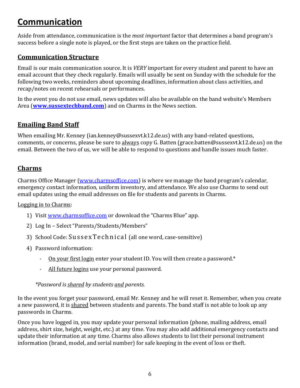# **Communication**

Aside from attendance, communication is the *most important* factor that determines a band program's success before a single note is played, or the first steps are taken on the practice field.

#### **Communication Structure**

Email is our main communication source. It is *VERY* important for every student and parent to have an email account that they check regularly. Emails will usually be sent on Sunday with the schedule for the following two weeks, reminders about upcoming deadlines, information about class activities, and recap/notes on recent rehearsals or performances.

In the event you do not use email, news updates will also be available on the band website's Members Area (**www.sussextechband.com**) and on Charms in the News section.

#### **Emailing Band Staff**

When emailing Mr. Kenney (ian.kenney@sussexvt.k12.de.us) with any band-related questions, comments, or concerns, please be sure to always copy G. Batten (grace.batten@sussexvt.k12.de.us) on the email. Between the two of us, we will be able to respond to questions and handle issues much faster.

#### **Charms**

Charms Office Manager (www.charmsoffice.com) is where we manage the band program's calendar, emergency contact information, uniform inventory, and attendance. We also use Charms to send out email updates using the email addresses on file for students and parents in Charms.

#### Logging in to Charms:

- 1) Visit www.charmsoffice.com or download the "Charms Blue" app.
- 2) Log In Select "Parents/Students/Members"
- 3) School Code: SussexTechnical (all one word, case-sensitive)
- 4) Password information:
	- On your first login enter your student ID. You will then create a password.\*
	- All future logins use your personal password.

#### *\*Password is shared by students and parents.*

In the event you forget your password, email Mr. Kenney and he will reset it. Remember, when you create a new password, it is shared between students and parents. The band staff is not able to look up any passwords in Charms.

Once you have logged in, you may update your personal information (phone, mailing address, email address, shirt size, height, weight, etc.) at any time. You may also add additional emergency contacts and update their information at any time. Charms also allows students to list their personal instrument information (brand, model, and serial number) for safe keeping in the event of loss or theft.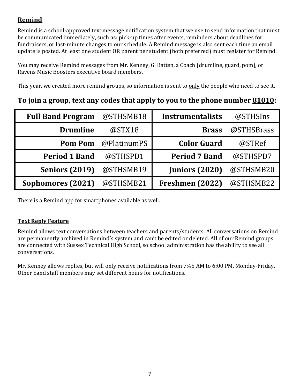## **Remind**

Remind is a school-approved text message notification system that we use to send information that must be communicated immediately, such as: pick-up times after events, reminders about deadlines for fundraisers, or last-minute changes to our schedule. A Remind message is also sent each time an email update is posted. At least one student OR parent per student (both preferred) must register for Remind.

You may receive Remind messages from Mr. Kenney, G. Batten, a Coach (drumline, guard, pom), or Ravens Music Boosters executive board members.

This year, we created more remind groups, so information is sent to only the people who need to see it.

## **To** join a group, text any codes that apply to you to the phone number 81010:

| <b>Full Band Program</b> | @STHSMB18   | <b>Instrumentalists</b> | @STHSIns   |
|--------------------------|-------------|-------------------------|------------|
| <b>Drumline</b>          | @STX18      | <b>Brass</b>            | @STHSBrass |
| <b>Pom Pom</b>           | @PlatinumPS | <b>Color Guard</b>      | @STRef     |
| <b>Period 1 Band</b>     | @STHSPD1    | <b>Period 7 Band</b>    | @STHSPD7   |
| <b>Seniors (2019)</b>    | @STHSMB19   | <b>Juniors (2020)</b>   | @STHSMB20  |
| Sophomores (2021)        | @STHSMB21   | Freshmen (2022)         | @STHSMB22  |

There is a Remind app for smartphones available as well.

#### **Text Reply Feature**

Remind allows text conversations between teachers and parents/students. All conversations on Remind are permanently archived in Remind's system and can't be edited or deleted. All of our Remind groups are connected with Sussex Technical High School, so school administration has the ability to see all conversations.

Mr. Kenney allows replies, but will only receive notifications from 7:45 AM to 6:00 PM, Monday-Friday. Other band staff members may set different hours for notifications.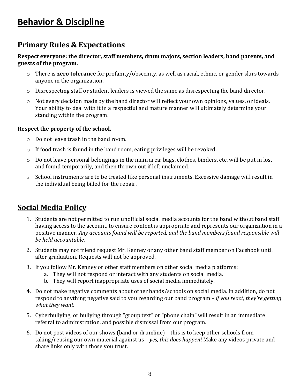## **Behavior & Discipline**

## **Primary Rules & Expectations**

#### Respect everyone: the director, staff members, drum majors, section leaders, band parents, and **guests of the program.**

- o There is **zero tolerance** for profanity/obscenity, as well as racial, ethnic, or gender slurs towards anyone in the organization.
- $\circ$  Disrespecting staff or student leaders is viewed the same as disrespecting the band director.
- $\circ$  Not every decision made by the band director will reflect your own opinions, values, or ideals. Your ability to deal with it in a respectful and mature manner will ultimately determine your standing within the program.

#### **Respect the property of the school.**

- $\circ$  Do not leave trash in the band room.
- $\circ$  If food trash is found in the band room, eating privileges will be revoked.
- $\circ$  Do not leave personal belongings in the main area: bags, clothes, binders, etc. will be put in lost and found temporarily, and then thrown out if left unclaimed.
- $\circ$  School instruments are to be treated like personal instruments. Excessive damage will result in the individual being billed for the repair.

## **Social Media Policy**

- 1. Students are not permitted to run unofficial social media accounts for the band without band staff having access to the account, to ensure content is appropriate and represents our organization in a positive manner. Any accounts found will be reported, and the band members found responsible will *be held accountable.*
- 2. Students may not friend request Mr. Kenney or any other band staff member on Facebook until after graduation. Requests will not be approved.
- 3. If you follow Mr. Kenney or other staff members on other social media platforms:
	- a. They will not respond or interact with any students on social media.
	- b. They will report inappropriate uses of social media immediately.
- 4. Do not make negative comments about other bands/schools on social media. In addition, do not respond to anything negative said to you regarding our band program – *if you react, they're getting* what they want.
- 5. Cyberbullying, or bullying through "group text" or "phone chain" will result in an immediate referral to administration, and possible dismissal from our program.
- 6. Do not post videos of our shows (band or drumline) this is to keep other schools from taking/reusing our own material against us - *yes, this does happen*! Make any videos private and share links only with those you trust.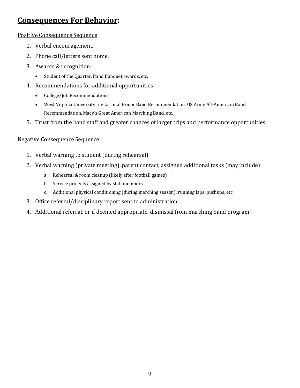## **Consequences For Behavior:**

#### Positive Consequence Sequence

- 1. Verbal encouragement.
- 2. Phone call/letters sent home.
- 3. Awards & recognition:
	- Student of the Quarter, Band Banquet awards, etc.
- 4. Recommendations for additional opportunities:
	- College/Job Recommendations
	- West Virginia University Invitational Honor Band Recommendation, US Army All-American Band Recommendation, Macy's Great American Marching Band, etc.
- 5. Trust from the band staff and greater chances of larger trips and performance opportunities.

#### **Negative Consequence Sequence**

- 1. Verbal warning to student (during rehearsal)
- 2. Verbal warning (private meeting), parent contact, assigned additional tasks (may include):
	- a. Rehearsal & room cleanup (likely after football games)
	- b. Service projects assigned by staff members
	- c. Additional physical conditioning (during marching season); running laps, pushups, etc.
- 3. Office referral/disciplinary report sent to administration
- 4. Additional referral, or if deemed appropriate, dismissal from marching band program.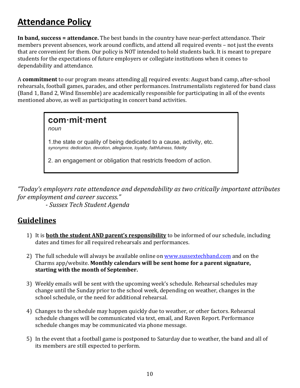# **Attendance Policy**

**In band, success = attendance.** The best bands in the country have near-perfect attendance. Their members prevent absences, work around conflicts, and attend all required events - not just the events that are convenient for them. Our policy is NOT intended to hold students back. It is meant to prepare students for the expectations of future employers or collegiate institutions when it comes to dependability and attendance.

A **commitment** to our program means attending all required events: August band camp, after-school rehearsals, football games, parades, and other performances. Instrumentalists registered for band class (Band 1, Band 2, Wind Ensemble) are academically responsible for participating in all of the events mentioned above, as well as participating in concert band activities.

**com·mit·ment** *noun* 1.the state or quality of being dedicated to a cause, activity, etc. *synonyms: dedication, devotion, allegiance, loyalty, faithfulness, fidelity* 2. an engagement or obligation that restricts freedom of action.

"Today's employers rate attendance and dependability as two critically important attributes *for employment and career success."* 

 *- Sussex Tech Student Agenda*

## **Guidelines**

- 1) It is **both the student AND parent's responsibility** to be informed of our schedule, including dates and times for all required rehearsals and performances.
- 2) The full schedule will always be available online on www.sussextechband.com and on the Charms app/website. Monthly calendars will be sent home for a parent signature, starting with the month of September.
- 3) Weekly emails will be sent with the upcoming week's schedule. Rehearsal schedules may change until the Sunday prior to the school week, depending on weather, changes in the school schedule, or the need for additional rehearsal.
- 4) Changes to the schedule may happen quickly due to weather, or other factors. Rehearsal schedule changes will be communicated via text, email, and Raven Report. Performance schedule changes may be communicated via phone message.
- 5) In the event that a football game is postponed to Saturday due to weather, the band and all of its members are still expected to perform.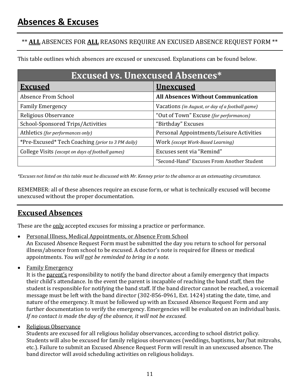## \*\* **ALL** ABSENCES FOR ALL REASONS REQUIRE AN EXCUSED ABSENCE REQUEST FORM \*\*

This table outlines which absences are excused or unexcused. Explanations can be found below.

| <b>Excused vs. Unexcused Absences*</b>            |                                                  |  |
|---------------------------------------------------|--------------------------------------------------|--|
| <b>Excused</b>                                    | <b>Unexcused</b>                                 |  |
| Absence From School                               | <b>All Absences Without Communication</b>        |  |
| <b>Family Emergency</b>                           | Vacations (in August, or day of a football game) |  |
| Religious Observance                              | "Out of Town" Excuse (for performances)          |  |
| School-Sponsored Trips/Activities                 | "Birthday" Excuses                               |  |
| Athletics (for performances only)                 | Personal Appointments/Leisure Activities         |  |
| *Pre-Excused* Tech Coaching (prior to 3 PM daily) | Work (except Work-Based Learning)                |  |
| College Visits (except on days of football games) | Excuses sent via "Remind"                        |  |
|                                                   | "Second-Hand" Excuses From Another Student       |  |

*\*Excuses* not listed on this table must be discussed with Mr. Kenney prior to the absence as an extenuating circumstance.

REMEMBER: all of these absences require an excuse form, or what is technically excused will become unexcused without the proper documentation.

## **Excused Absences**

These are the only accepted excuses for missing a practice or performance.

- Personal Illness, Medical Appointments, or Absence From School An Excused Absence Request Form must be submitted the day you return to school for personal illness/absence from school to be excused. A doctor's note is required for illness or medical appointments. *You will not be reminded to bring in a note.*
- Family Emergency

It is the parent's responsibility to notify the band director about a family emergency that impacts their child's attendance. In the event the parent is incapable of reaching the band staff, then the student is responsible for notifying the band staff. If the band director cannot be reached, a voicemail message must be left with the band director (302-856-0961, Ext. 1424) stating the date, time, and nature of the emergency. It must be followed up with an Excused Absence Request Form and any further documentation to verify the emergency. Emergencies will be evaluated on an individual basis. *If no contact is made the day of the absence, it will not be excused.* 

• Religious Observance

Students are excused for all religious holiday observances, according to school district policy. Students will also be excused for family religious observances (weddings, baptisms, bar/bat mitzvahs, etc.). Failure to submit an Excused Absence Request Form will result in an unexcused absence. The band director will avoid scheduling activities on religious holidays.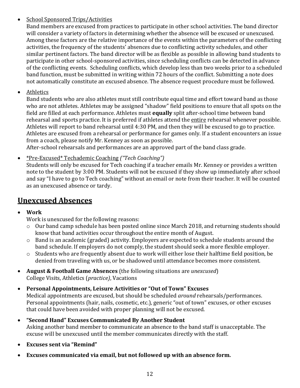#### • School Sponsored Trips/Activities

Band members are excused from practices to participate in other school activities. The band director will consider a variety of factors in determining whether the absence will be excused or unexcused. Among these factors are the relative importance of the events within the parameters of the conflicting activities, the frequency of the students' absences due to conflicting activity schedules, and other similar pertinent factors. The band director will be as flexible as possible in allowing band students to participate in other school-sponsored activities, since scheduling conflicts can be detected in advance of the conflicting events. Scheduling conflicts, which develop less than two weeks prior to a scheduled band function, must be submitted in writing within 72 hours of the conflict. Submitting a note does not automatically constitute an excused absence. The absence request procedure must be followed.

• Athletics

Band students who are also athletes must still contribute equal time and effort toward band as those who are not athletes. Athletes may be assigned "shadow" field positions to ensure that all spots on the field are filled at each performance. Athletes must **equally** split after-school time between band rehearsal and sports practice. It is preferred if athletes attend the entire rehearsal whenever possible. Athletes will report to band rehearsal until 4:30 PM, and then they will be excused to go to practice. Athletes are excused from a rehearsal or performance for games only. If a student encounters an issue from a coach, please notify Mr. Kenney as soon as possible.

After-school rehearsals and performances are an approved part of the band class grade.

• \*Pre-Excused\* Techademic Coaching *("Tech Coaching")*

Students will only be excused for Tech coaching if a teacher emails Mr. Kenney or provides a written note to the student by 3:00 PM. Students will not be excused if they show up immediately after school and say "I have to go to Tech coaching" without an email or note from their teacher. It will be counted as an unexcused absence or tardy.

## **Unexcused Absences**

• **Work**

Work is unexcused for the following reasons:

- $\circ$  Our band camp schedule has been posted online since March 2018, and returning students should know that band activities occur throughout the entire month of August.
- $\circ$  Band is an academic (graded) activity. Employers are expected to schedule students around the band schedule. If employers do not comply, the student should seek a more flexible employer.
- $\circ$  Students who are frequently absent due to work will either lose their halftime field position, be denied from traveling with us, or be shadowed until attendance becomes more consistent.
- **August & Football Game Absences** (the following situations are *unexcused*) College Visits, Athletics (*practice)*, Vacations

## • **Personal Appointments, Leisure Activities or "Out of Town" Excuses**

Medical appointments are excused, but should be scheduled *around* rehearsals/performances. Personal appointments (hair, nails, cosmetic, etc.), generic "out of town" excuses, or other excuses that could have been avoided with proper planning will not be excused.

- **•** "Second Hand" Excuses Communicated By Another Student Asking another band member to communicate an absence to the band staff is unacceptable. The excuse will be unexcused until the member communicates directly with the staff.
- Excuses sent via "Remind"
- Excuses communicated via email, but not followed up with an absence form.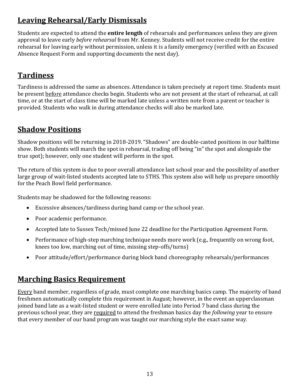## **Leaving Rehearsal/Early Dismissals**

Students are expected to attend the **entire length** of rehearsals and performances unless they are given approval to leave early *before rehearsal* from Mr. Kenney. Students will not receive credit for the entire rehearsal for leaving early without permission, unless it is a family emergency (verified with an Excused Absence Request Form and supporting documents the next day).

## **Tardiness**

Tardiness is addressed the same as absences. Attendance is taken precisely at report time. Students must be present before attendance checks begin. Students who are not present at the start of rehearsal, at call time, or at the start of class time will be marked late unless a written note from a parent or teacher is provided. Students who walk in during attendance checks will also be marked late.

## **Shadow Positions**

Shadow positions will be returning in 2018-2019. "Shadows" are double-casted positions in our halftime show. Both students will march the spot in rehearsal, trading off being "in" the spot and alongside the true spot); however, only one student will perform in the spot.

The return of this system is due to poor overall attendance last school year and the possibility of another large group of wait-listed students accepted late to STHS. This system also will help us prepare smoothly for the Peach Bowl field performance.

Students may be shadowed for the following reasons:

- $\bullet$  Excessive absences/tardiness during band camp or the school year.
- Poor academic performance.
- Accepted late to Sussex Tech/missed June 22 deadline for the Participation Agreement Form.
- Performance of high-step marching technique needs more work (e.g., frequently on wrong foot, knees too low, marching out of time, missing step-offs/turns)
- Poor attitude/effort/performance during block band choreography rehearsals/performances

## **Marching Basics Requirement**

Every band member, regardless of grade, must complete one marching basics camp. The majority of band freshmen automatically complete this requirement in August; however, in the event an upperclassman joined band late as a wait-listed student or were enrolled late into Period 7 band class during the previous school year, they are required to attend the freshman basics day the *following* year to ensure that every member of our band program was taught our marching style the exact same way.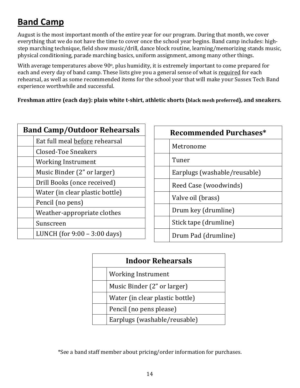# **Band Camp**

August is the most important month of the entire year for our program. During that month, we cover everything that we do not have the time to cover once the school year begins. Band camp includes: highstep marching technique, field show music/drill, dance block routine, learning/memorizing stands music, physical conditioning, parade marching basics, uniform assignment, among many other things.

With average temperatures above 90°, plus humidity, it is extremely important to come prepared for each and every day of band camp. These lists give you a general sense of what is required for each rehearsal, as well as some recommended items for the school year that will make your Sussex Tech Band experience worthwhile and successful.

Freshman attire (each day): plain white t-shirt, athletic shorts (black mesh preferred), and sneakers.

| <b>Band Camp/Outdoor Rehearsals</b> |                                 |
|-------------------------------------|---------------------------------|
|                                     | Eat full meal before rehearsal  |
|                                     | Closed-Toe Sneakers             |
|                                     | Working Instrument              |
|                                     | Music Binder (2" or larger)     |
|                                     | Drill Books (once received)     |
|                                     | Water (in clear plastic bottle) |
|                                     | Pencil (no pens)                |
|                                     | Weather-appropriate clothes     |
|                                     | Sunscreen                       |
|                                     | LUNCH (for $9:00 - 3:00$ days)  |

| <b>Recommended Purchases*</b> |                              |
|-------------------------------|------------------------------|
|                               | Metronome                    |
|                               | Tuner                        |
|                               | Earplugs (washable/reusable) |
|                               | Reed Case (woodwinds)        |
|                               | Valve oil (brass)            |
|                               | Drum key (drumline)          |
|                               | Stick tape (drumline)        |
|                               | Drum Pad (drumline)          |

| <b>Indoor Rehearsals</b> |                                 |  |
|--------------------------|---------------------------------|--|
|                          | <b>Working Instrument</b>       |  |
|                          | Music Binder (2" or larger)     |  |
|                          | Water (in clear plastic bottle) |  |
|                          | Pencil (no pens please)         |  |
|                          | Earplugs (washable/reusable)    |  |

\*See a band staff member about pricing/order information for purchases.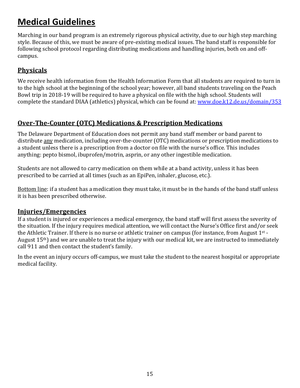# **Medical Guidelines**

Marching in our band program is an extremely rigorous physical activity, due to our high step marching style. Because of this, we must be aware of pre-existing medical issues. The band staff is responsible for following school protocol regarding distributing medications and handling injuries, both on and offcampus. 

#### **Physicals**

We receive health information from the Health Information Form that all students are required to turn in to the high school at the beginning of the school year; however, all band students traveling on the Peach Bowl trip in 2018-19 will be required to have a physical on file with the high school. Students will complete the standard DIAA (athletics) physical, which can be found at: www.doe.k12.de.us/domain/353

#### **Over-The-Counter (OTC) Medications & Prescription Medications**

The Delaware Department of Education does not permit any band staff member or band parent to distribute any medication, including over-the-counter (OTC) medications or prescription medications to a student unless there is a prescription from a doctor on file with the nurse's office. This includes anything: pepto bismol, ibuprofen/motrin, asprin, or any other ingestible medication.

Students are not allowed to carry medication on them while at a band activity, unless it has been prescribed to be carried at all times (such as an EpiPen, inhaler, glucose, etc.).

Bottom line: if a student has a medication they must take, it must be in the hands of the band staff unless it is has been prescribed otherwise.

#### **Injuries/Emergencies**

If a student is injured or experiences a medical emergency, the band staff will first assess the severity of the situation. If the injury requires medical attention, we will contact the Nurse's Office first and/or seek the Athletic Trainer. If there is no nurse or athletic trainer on campus (for instance, from August  $1^{st}$  -August  $15<sup>th</sup>$ ) and we are unable to treat the injury with our medical kit, we are instructed to immediately call 911 and then contact the student's family.

In the event an injury occurs off-campus, we must take the student to the nearest hospital or appropriate medical facility.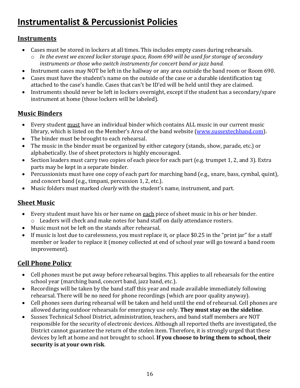# **Instrumentalist & Percussionist Policies**

#### **Instruments**

- Cases must be stored in lockers at all times. This includes empty cases during rehearsals.
- o *In the event we exceed locker storage space, Room 690 will be used for storage of secondary instruments* or those who switch *instruments* for concert band or jazz band.
- Instrument cases may NOT be left in the hallway or any area outside the band room or Room 690.
- Cases must have the student's name on the outside of the case or a durable identification tag attached to the case's handle. Cases that can't be ID'ed will be held until they are claimed.
- Instruments should never be left in lockers overnight, except if the student has a secondary/spare instrument at home (those lockers will be labeled).

## **Music Binders**

- Every student must have an individual binder which contains ALL music in our current music library, which is listed on the Member's Area of the band website (www.sussextechband.com).
- The binder must be brought to each rehearsal.
- The music in the binder must be organized by either category (stands, show, parade, etc.) or alphabetically. Use of sheet protectors is highly encouraged.
- Section leaders must carry two copies of each piece for each part (e.g. trumpet 1, 2, and 3). Extra parts may be kept in a separate binder.
- Percussionists must have one copy of each part for marching band (e.g., snare, bass, cymbal, quint), and concert band (e.g., timpani, percussion 1, 2, etc.).
- Music folders must marked *clearly* with the student's name, instrument, and part.

## **Sheet Music**

- Every student must have his or her name on each piece of sheet music in his or her binder.  $\circ$  Leaders will check and make notes for band staff on daily attendance rosters.
- Music must not be left on the stands after rehearsal.
- If music is lost due to carelessness, you must replace it, or place \$0.25 in the "print jar" for a staff member or leader to replace it (money collected at end of school year will go toward a band room improvement).

## **Cell Phone Policy**

- Cell phones must be put away before rehearsal begins. This applies to all rehearsals for the entire school year (marching band, concert band, jazz band, etc.).
- Recordings will be taken by the band staff this year and made available immediately following rehearsal. There will be no need for phone recordings (which are poor quality anyway).
- Cell phones seen during rehearsal will be taken and held until the end of rehearsal. Cell phones are allowed during outdoor rehearsals for emergency use only. They must stay on the sideline.
- Sussex Technical School District, administration, teachers, and band staff members are NOT responsible for the security of electronic devices. Although all reported thefts are investigated, the District cannot guarantee the return of the stolen item. Therefore, it is strongly urged that these devices by left at home and not brought to school. If you choose to bring them to school, their security is at your own risk.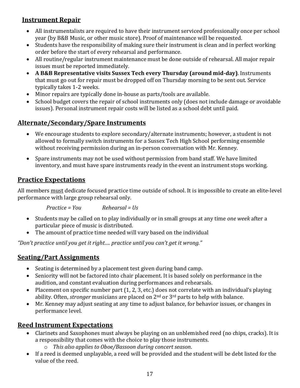#### **Instrument Repair**

- All instrumentalists are required to have their instrument serviced professionally once per school year (by B&B Music, or other music store). Proof of maintenance will be requested.
- Students have the responsibility of making sure their instrument is clean and in perfect working order before the start of every rehearsal and performance.
- All routine/regular instrument maintenance must be done outside of rehearsal. All major repair issues must be reported immediately.
- A B&B Representative visits Sussex Tech every Thursday (around mid-day). Instruments that must go out for repair must be dropped off on Thursday morning to be sent out. Service typically takes 1-2 weeks.
- Minor repairs are typically done in-house as parts/tools are available.
- School budget covers the repair of school instruments only (does not include damage or avoidable issues). Personal instrument repair costs will be listed as a school debt until paid.

#### **Alternate/Secondary/Spare Instruments**

- We encourage students to explore secondary/alternate instruments; however, a student is not allowed to formally switch instruments for a Sussex Tech High School performing ensemble without receiving permission during an in-person conversation with Mr. Kenney.
- Spare instruments may not be used without permission from band staff. We have limited inventory, and must have spare instruments ready in the event an instrument stops working.

#### **Practice Expectations**

All members must dedicate focused practice time outside of school. It is impossible to create an elite-level performance with large group rehearsal only.

*Practice* = *You Rehearsal* = Us

- Students may be called on to play individually or in small groups at any time *one* week after a particular piece of music is distributed.
- The amount of practice time needed will vary based on the individual

"Don't practice until you get it right.... practice until you can't get it wrong."

#### **Seating/Part Assignments**

- Seating is determined by a placement test given during band camp.
- Seniority will not be factored into chair placement. It is based solely on performance in the audition, and constant evaluation during performances and rehearsals.
- Placement on specific number part  $(1, 2, 3,$  etc.) does not correlate with an individual's playing ability. Often, *stronger* musicians are placed on  $2<sup>nd</sup>$  or  $3<sup>rd</sup>$  parts to help with balance.
- Mr. Kenney may adjust seating at any time to adjust balance, for behavior issues, or changes in performance level.

## **Reed Instrument Expectations**

- Clarinets and Saxophones must always be playing on an unblemished reed (no chips, cracks). It is a responsibility that comes with the choice to play those instruments.
	- o *This also applies to Oboe/Bassoon during concert season*.
- If a reed is deemed unplayable, a reed will be provided and the student will be debt listed for the value of the reed.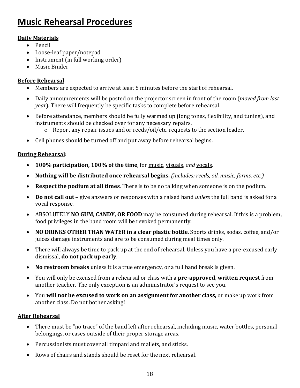# **Music Rehearsal Procedures**

#### **Daily Materials**

- Pencil
- Loose-leaf paper/notepad
- Instrument (in full working order)
- Music Binder

#### **Before Rehearsal**

- Members are expected to arrive at least 5 minutes before the start of rehearsal.
- Daily announcements will be posted on the projector screen in front of the room (*moved from last*) *year*). There will frequently be specific tasks to complete before rehearsal.
- Before attendance, members should be fully warmed up (long tones, flexibility, and tuning), and instruments should be checked over for any necessary repairs.
	- $\circ$  Report any repair issues and or reeds/oil/etc. requests to the section leader.
- Cell phones should be turned off and put away before rehearsal begins.

#### **During Rehearsal:**

- **100% participation, 100% of the time**, for music, visuals, and vocals.
- **Nothing will be distributed once rehearsal begins.** *(includes: reeds, oil, music, forms, etc.)*
- **Respect the podium at all times**. There is to be no talking when someone is on the podium.
- **Do not call out** give answers or responses with a raised hand *unless* the full band is asked for a vocal response.
- ABSOLUTELY **NO GUM, CANDY, OR FOOD** may be consumed during rehearsal. If this is a problem, food privileges in the band room will be revoked permanently.
- NO DRINKS OTHER THAN WATER in a clear plastic bottle. Sports drinks, sodas, coffee, and/or juices damage instruments and are to be consumed during meal times only.
- There will always be time to pack up at the end of rehearsal. Unless you have a pre-excused early dismissal, **do not pack up early**.
- No restroom breaks unless it is a true emergency, or a full band break is given.
- You will only be excused from a rehearsal or class with a **pre-approved, written request** from another teacher. The only exception is an administrator's request to see you.
- You will not be excused to work on an assignment for another class, or make up work from another class. Do not bother asking!

#### **After Rehearsal**

- There must be "no trace" of the band left after rehearsal, including music, water bottles, personal belongings, or cases outside of their proper storage areas.
- Percussionists must cover all timpani and mallets, and sticks.
- Rows of chairs and stands should be reset for the next rehearsal.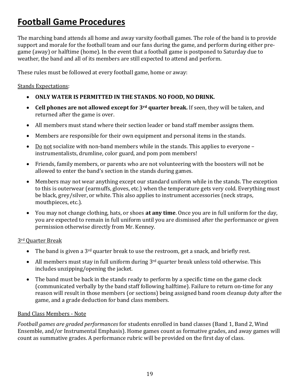# **Football Game Procedures**

The marching band attends all home and away varsity football games. The role of the band is to provide support and morale for the football team and our fans during the game, and perform during either pregame (away) or halftime (home). In the event that a football game is postponed to Saturday due to weather, the band and all of its members are still expected to attend and perform.

These rules must be followed at every football game, home or away:

#### **Stands Expectations:**

- ONLY WATER IS PERMITTED IN THE STANDS. NO FOOD, NO DRINK.
- Cell phones are not allowed except for 3<sup>rd</sup> quarter break. If seen, they will be taken, and returned after the game is over.
- All members must stand where their section leader or band staff member assigns them.
- Members are responsible for their own equipment and personal items in the stands.
- Do not socialize with non-band members while in the stands. This applies to everyone  $$ instrumentalists, drumline, color guard, and pom pom members!
- Friends, family members, or parents who are not volunteering with the boosters will not be allowed to enter the band's section in the stands during games.
- Members may not wear anything except our standard uniform while in the stands. The exception to this is outerwear (earmuffs, gloves, etc.) when the temperature gets very cold. Everything must be black, grey/silver, or white. This also applies to instrument accessories (neck straps, mouthpieces, etc.).
- You may not change clothing, hats, or shoes **at any time**. Once you are in full uniform for the day, you are expected to remain in full uniform until you are dismissed after the performance or given permission otherwise directly from Mr. Kenney.

#### 3<sup>rd</sup> Quarter Break

- The band is given a 3<sup>rd</sup> quarter break to use the restroom, get a snack, and briefly rest.
- All members must stay in full uniform during  $3<sup>rd</sup>$  quarter break unless told otherwise. This includes unzipping/opening the jacket.
- The band must be back in the stands ready to perform by a specific time on the game clock (communicated verbally by the band staff following halftime). Failure to return on-time for any reason will result in those members (or sections) being assigned band room cleanup duty after the game, and a grade deduction for band class members.

#### Band Class Members - Note

*Football games are graded performances* for students enrolled in band classes (Band 1, Band 2, Wind Ensemble, and/or Instrumental Emphasis). Home games count as formative grades, and away games will count as summative grades. A performance rubric will be provided on the first day of class.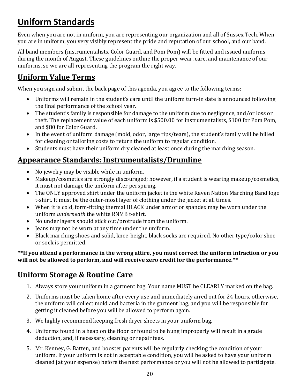# **Uniform Standards**

Even when you are not in uniform, you are representing our organization and all of Sussex Tech. When you are in uniform, you very visibly represent the pride and reputation of our school, and our band.

All band members (instrumentalists, Color Guard, and Pom Pom) will be fitted and issued uniforms during the month of August. These guidelines outline the proper wear, care, and maintenance of our uniforms, so we are all representing the program the right way.

## **Uniform Value Terms**

When you sign and submit the back page of this agenda, you agree to the following terms:

- Uniforms will remain in the student's care until the uniform turn-in date is announced following the final performance of the school year.
- The student's family is responsible for damage to the uniform due to negligence, and/or loss or theft. The replacement value of each uniform is \$500.00 for instrumentalists, \$100 for Pom Pom, and \$80 for Color Guard.
- In the event of uniform damage (mold, odor, large rips/tears), the student's family will be billed for cleaning or tailoring costs to return the uniform to regular condition.
- Students must have their uniform dry cleaned at least once during the marching season.

## **Appearance Standards: Instrumentalists/Drumline**

- No jewelry may be visible while in uniform.
- Makeup/cosmetics are strongly discouraged; however, if a student is wearing makeup/cosmetics, it must not damage the uniform after perspiring.
- The ONLY approved shirt under the uniform jacket is the white Raven Nation Marching Band logo t-shirt. It must be the outer-most layer of clothing under the jacket at all times.
- When it is cold, form-fitting thermal BLACK under armor or spandex may be worn under the uniform *underneath* the white RNMB t-shirt.
- No under layers should stick out/protrude from the uniform.
- Jeans may not be worn at any time under the uniform.
- Black marching shoes and solid, knee-height, black socks are required. No other type/color shoe or sock is permitted.

#### \*\*If you attend a performance in the wrong attire, you must correct the uniform infraction or you will not be allowed to perform, and will receive zero credit for the performance.\*\*

## **Uniform Storage & Routine Care**

- 1. Always store your uniform in a garment bag. Your name MUST be CLEARLY marked on the bag.
- 2. Uniforms must be taken home after every use and immediately aired out for 24 hours, otherwise, the uniform will collect mold and bacteria in the garment bag, and you will be responsible for getting it cleaned before you will be allowed to perform again.
- 3. We highly recommend keeping fresh dryer sheets in your uniform bag.
- 4. Uniforms found in a heap on the floor or found to be hung improperly will result in a grade deduction, and, if necessary, cleaning or repair fees.
- 5. Mr. Kenney, G. Batten, and booster parents will be regularly checking the condition of your uniform. If your uniform is not in acceptable condition, you will be asked to have your uniform cleaned (at your expense) before the next performance or you will not be allowed to participate.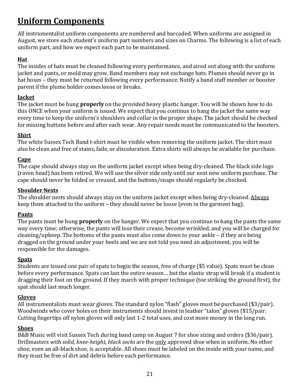# **Uniform Components**

All instrumentalist uniform components are numbered and barcoded. When uniforms are assigned in August, we store each student's uniform part numbers and sizes on Charms. The following is a list of each uniform part, and how we expect each part to be maintained.

#### **Hat**

The insides of hats must be cleaned following every performance, and aired out along with the uniform jacket and pants, or mold may grow. Band members may not exchange hats. Plumes should never go in hat boxes – they must be returned following every performance. Notify a band staff member or booster parent if the plume holder comes loose or breaks.

#### **Jacket**

The jacket must be hung **properly** on the provided heavy plastic hanger. You will be shown how to do this ONCE when your uniform is issued. We expect that you continue to hang the jacket the same way every time to keep the uniform's shoulders and collar in the proper shape. The jacket should be checked for missing buttons before and after each wear. Any repair needs must be communicated to the boosters.

#### **Shirt**

The white Sussex Tech Band t-shirt must be visible when removing the uniform jacket. The shirt must also be clean and free of stains, fade, or discoloration. Extra shirts will always be available for purchase.

#### **Cape**

The cape should always stay on the uniform jacket except when being dry-cleaned. The black side logo (raven head) has been retired. We will use the silver side only until our next new uniform purchase. The cape should never be folded or creased, and the buttons/snaps should regularly be checked.

#### **Shoulder Nests**

The shoulder nests should always stay on the uniform jacket except when being dry-cleaned. Always keep them attached to the uniform  $-$  they should never be loose (even in the garment bag).

#### **Pants**

The pants must be hung **properly** on the hanger. We expect that you continue to hang the pants the same way every time; otherwise, the pants will lose their crease, become wrinkled, and you will be charged for cleaning/upkeep. The bottoms of the pants must also come down to your ankle  $-$  if they are being dragged on the ground under your heels and we are not told you need an adjustment, you will be responsible for the damages.

#### **Spats**

Students are issued one pair of spats to begin the season, free of charge (\$5 value). Spats must be clean before every performance. Spats *can* last the entire season... but the elastic strap will break if a student is dragging their foot on the ground. If they march with proper technique (toe striking the ground first), the spat should last much longer.

#### **Gloves**

All instrumentalists must wear gloves. The standard nylon "flash" gloves must be purchased (\$3/pair). Woodwinds who cover holes on their instruments should invest in leather "talon" gloves (\$15/pair. Cutting fingertips off nylon gloves will only last 1-2 total uses, and cost more money in the long run.

#### **Shoes**

B&B Music will visit Sussex Tech during band camp on August 7 for shoe sizing and orders (\$36/pair). Drillmasters *with solid, knee-height, black socks* are the only approved shoe when in uniform. No other shoe, even an all-black shoe, is acceptable. All shoes must be labeled on the inside with your name, and they must be free of dirt and debris before each performance.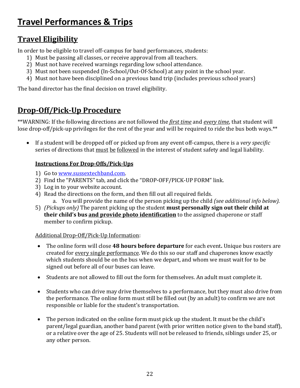# **Travel Performances & Trips**

## **Travel Eligibility**

In order to be eligible to travel off-campus for band performances, students:

- 1) Must be passing all classes, or receive approval from all teachers.
- 2) Must not have received warnings regarding low school attendance.
- 3) Must not been suspended  $(In-SchooJ/Out-Of-SchooI)$  at any point in the school year.
- 4) Must not have been disciplined on a previous band trip (includes previous school years)

The band director has the final decision on travel eligibility.

## **Drop-Off/Pick-Up Procedure**

\*\*WARNING: If the following directions are not followed the *first time* and *every time*, that student will lose drop-off/pick-up privileges for the rest of the year and will be required to ride the bus both ways.\*\*

• If a student will be dropped off or picked up from any event off-campus, there is a *very specific* series of directions that must be followed in the interest of student safety and legal liability.

#### **Instructions For Drop-Offs/Pick-Ups**

- 1) Go to www.sussextechband.com.
- 2) Find the "PARENTS" tab, and click the "DROP-OFF/PICK-UP FORM" link.
- 3) Log in to your website account.
- 4) Read the directions on the form, and then fill out all required fields.
	- a. You will provide the name of the person picking up the child *(see additional info below).*
- 5) *(Pickups only)* The parent picking up the student **must personally sign out their child at their child's bus and provide photo identification** to the assigned chaperone or staff member to confirm pickup.

#### Additional Drop-Off/Pick-Up Information:

- The online form will close 48 hours before departure for each event. Unique bus rosters are created for every single performance. We do this so our staff and chaperones know exactly which students should be on the bus when we depart, and whom we must wait for to be signed out before all of our buses can leave.
- Students are not allowed to fill out the form for themselves. An adult must complete it.
- Students who can drive may drive themselves to a performance, but they must also drive from the performance. The online form must still be filled out (by an adult) to confirm we are not responsible or liable for the student's transportation.
- The person indicated on the online form must pick up the student. It must be the child's parent/legal guardian, another band parent (with prior written notice given to the band staff), or a relative over the age of 25. Students will not be released to friends, siblings under 25, or any other person.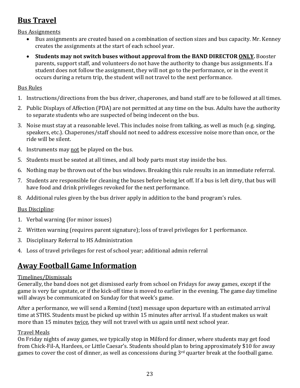## **Bus Travel**

Bus Assignments

- Bus assignments are created based on a combination of section sizes and bus capacity. Mr. Kenney creates the assignments at the start of each school year.
- Students may not switch buses without approval from the BAND DIRECTOR **ONLY**. Booster parents, support staff, and volunteers do not have the authority to change bus assignments. If a student does not follow the assignment, they will not go to the performance, or in the event it occurs during a return trip, the student will not travel to the next performance.

#### Bus Rules

- 1. Instructions/directions from the bus driver, chaperones, and band staff are to be followed at all times.
- 2. Public Displays of Affection (PDA) are not permitted at any time on the bus. Adults have the authority to separate students who are suspected of being indecent on the bus.
- 3. Noise must stay at a reasonable level. This includes noise from talking, as well as much (e.g. singing, speakers, etc.). Chaperones/staff should not need to address excessive noise more than once, or the ride will be silent.
- 4. Instruments may not be played on the bus.
- 5. Students must be seated at all times, and all body parts must stay inside the bus.
- 6. Nothing may be thrown out of the bus windows. Breaking this rule results in an immediate referral.
- 7. Students are responsible for cleaning the buses before being let off. If a bus is left dirty, that bus will have food and drink privileges revoked for the next performance.
- 8. Additional rules given by the bus driver apply in addition to the band program's rules.

#### **Bus Discipline:**

- 1. Verbal warning (for minor issues)
- 2. Written warning (requires parent signature); loss of travel privileges for 1 performance.
- 3. Disciplinary Referral to HS Administration
- 4. Loss of travel privileges for rest of school year; additional admin referral

## **Away Football Game Information**

#### Timelines/Dismissals

Generally, the band does not get dismissed early from school on Fridays for away games, except if the game is very far upstate, or if the kick-off time is moved to earlier in the evening. The game day timeline will always be communicated on Sunday for that week's game.

After a performance, we will send a Remind (text) message upon departure with an estimated arrival time at STHS. Students must be picked up within 15 minutes after arrival. If a student makes us wait more than 15 minutes twice, they will not travel with us again until next school year.

#### Travel Meals

On Friday nights of away games, we typically stop in Milford for dinner, where students may get food from Chick-Fil-A, Hardees, or Little Caesar's. Students should plan to bring approximately \$10 for away games to cover the cost of dinner, as well as concessions during  $3<sup>rd</sup>$  quarter break at the football game.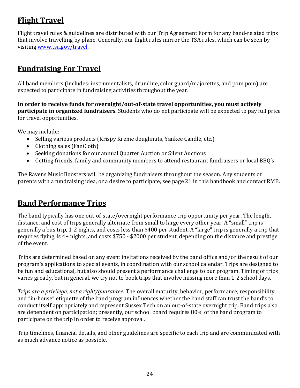## **Flight Travel**

Flight travel rules & guidelines are distributed with our Trip Agreement Form for any band-related trips that involve travelling by plane. Generally, our flight rules mirror the TSA rules, which can be seen by visiting www.tsa.gov/travel.

## **Fundraising For Travel**

All band members (includes: instrumentalists, drumline, color guard/majorettes, and pom pom) are expected to participate in fundraising activities throughout the year.

In order to receive funds for overnight/out-of-state travel opportunities, you must actively **participate in organized fundraisers.** Students who do not participate will be expected to pay full price for travel opportunities.

We may include:

- Selling various products (Krispy Kreme doughnuts, Yankee Candle, etc.)
- $\bullet$  Clothing sales (FanCloth)
- Seeking donations for our annual Quarter Auction or Silent Auctions
- Getting friends, family and community members to attend restaurant fundraisers or local BBQ's

The Ravens Music Boosters will be organizing fundraisers throughout the season. Any students or parents with a fundraising idea, or a desire to participate, see page 21 in this handbook and contact RMB.

## **Band Performance Trips**

The band typically has one out-of-state/overnight performance trip opportunity per year. The length, distance, and cost of trips generally alternate from small to large every other year. A "small" trip is generally a bus trip, 1-2 nights, and costs less than \$400 per student. A "large" trip is generally a trip that requires flying, is 4+ nights, and costs \$750 - \$2000 per student, depending on the distance and prestige of the event.

Trips are determined based on any event invitations received by the band office and/or the result of our program's applications to special events, in coordination with our school calendar. Trips are designed to be fun and educational, but also should present a performance challenge to our program. Timing of trips varies greatly, but in general, we try not to book trips that involve missing more than 1-2 school days.

*Trips are a privilege, not a right/guarantee*. The overall maturity, behavior, performance, responsibility, and "in-house" etiquette of the band program influences whether the band staff can trust the band's to conduct itself appropriately and represent Sussex Tech on an out-of-state overnight trip. Band trips also are dependent on participation; presently, our school board requires 80% of the band program to participate on the trip in order to receive approval.

Trip timelines, financial details, and other guidelines are specific to each trip and are communicated with as much advance notice as possible.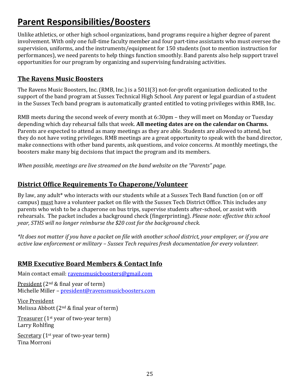# **Parent Responsibilities/Boosters**

Unlike athletics, or other high school organizations, band programs require a higher degree of parent involvement. With only one full-time faculty member and four part-time assistants who must oversee the supervision, uniforms, and the instruments/equipment for 150 students (not to mention instruction for performances), we need parents to help things function smoothly. Band parents also help support travel opportunities for our program by organizing and supervising fundraising activities.

#### **The Ravens Music Boosters**

The Ravens Music Boosters, Inc. (RMB, Inc.) is a 501I(3) not-for-profit organization dedicated to the support of the band program at Sussex Technical High School. Any parent or legal guardian of a student in the Sussex Tech band program is automatically granted entitled to voting privileges within RMB, Inc.

RMB meets during the second week of every month at 6:30pm – they will meet on Monday or Tuesday depending which day rehearsal falls that week. **All meeting dates are on the calendar on Charms.** Parents are expected to attend as many meetings as they are able. Students are allowed to attend, but they do not have voting privileges. RMB meetings are a great opportunity to speak with the band director, make connections with other band parents, ask questions, and voice concerns. At monthly meetings, the boosters make many big decisions that impact the program and its members.

*When possible, meetings are live streamed on the band website on the "Parents" page.* 

## **District Office Requirements To Chaperone/Volunteer**

By law, any adult\* who interacts with our students while at a Sussex Tech Band function (on or off campus) must have a volunteer packet on file with the Sussex Tech District Office. This includes any parents who wish to be a chaperone on bus trips, supervise students after-school, or assist with rehearsals. The packet includes a background check (fingerprinting). *Please note: effective this school year,* STHS will no longer reimburse the \$20 cost for the background check.

*\*It does not matter if you have a packet on file with another school district, your employer, or if you are active law enforcement or military – Sussex Tech requires fresh documentation for every volunteer.* 

#### **RMB Executive Board Members & Contact Info**

Main contact email: ravensmusicboosters@gmail.com

President  $(2^{nd} \&$  final year of term) Michelle Miller - president@ravensmusicboosters.com

Vice President Melissa Abbott  $(2<sup>nd</sup>$  & final year of term)

Treasurer  $(1^{st}$  year of two-year term) Larry Rohlfing

Secretary  $(1^{st}$  year of two-year term) Tina Morroni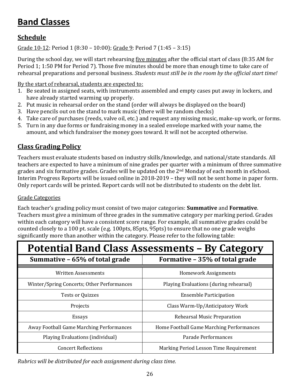# **Band Classes**

## **Schedule**

Grade  $10-12$ : Period 1 (8:30 – 10:00); Grade 9: Period 7 (1:45 – 3:15)

During the school day, we will start rehearsing <u>five minutes</u> after the official start of class (8:35 AM for Period 1; 1:50 PM for Period 7). Those five minutes should be more than enough time to take care of rehearsal preparations and personal business. *Students must still be in the room by the official start time!* 

By the start of rehearsal, students are expected to:

- 1. Be seated in assigned seats, with instruments assembled and empty cases put away in lockers, and have already started warming up properly.
- 2. Put music in rehearsal order on the stand (order will always be displayed on the board)
- 3. Have pencils out on the stand to mark music (there will be random checks)
- 4. Take care of purchases (reeds, valve oil, etc.) and request any missing music, make-up work, or forms.
- 5. Turn in any due forms or fundraising money in a sealed envelope marked with your name, the amount, and which fundraiser the money goes toward. It will not be accepted otherwise.

## **Class Grading Policy**

Teachers must evaluate students based on industry skills/knowledge, and national/state standards. All teachers are expected to have a minimum of nine grades per quarter with a minimum of three summative grades and six formative grades. Grades will be updated on the 2<sup>nd</sup> Monday of each month in eSchool. Interim Progress Reports will be issued online in 2018-2019 – they will not be sent home in paper form. Only report cards will be printed. Report cards will not be distributed to students on the debt list.

#### Grade Categories

Each teacher's grading policy must consist of two major categories: **Summative** and **Formative**. Teachers must give a minimum of three grades in the summative category per marking period. Grades within each category will have a consistent score range. For example, all summative grades could be counted closely to a 100 pt. scale (e.g. 100pts, 85pts, 95pts) to ensure that no one grade weighs significantly more than another within the category. Please refer to the following table:

| <b>Potential Band Class Assessments - By Category</b> |                                          |  |
|-------------------------------------------------------|------------------------------------------|--|
| Summative - 65% of total grade                        | Formative - 35% of total grade           |  |
| <b>Written Assessments</b>                            | <b>Homework Assignments</b>              |  |
| Winter/Spring Concerts; Other Performances            | Playing Evaluations (during rehearsal)   |  |
| <b>Tests or Quizzes</b>                               | <b>Ensemble Participation</b>            |  |
| Projects                                              | Class Warm-Up/Anticipatory Work          |  |
| Essays                                                | Rehearsal Music Preparation              |  |
| Away Football Game Marching Performances              | Home Football Game Marching Performances |  |
| Playing Evaluations (individual)                      | Parade Performances                      |  |
| <b>Concert Reflections</b>                            | Marking Period Lesson Time Requirement   |  |

*Rubrics* will be distributed for each assignment during class time.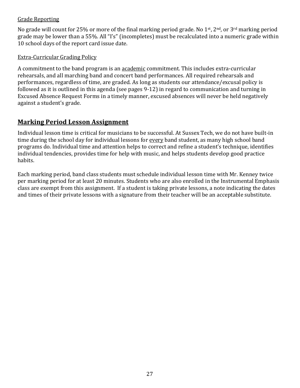#### **Grade Reporting**

No grade will count for 25% or more of the final marking period grade. No 1<sup>st</sup>, 2<sup>nd</sup>, or 3<sup>rd</sup> marking period grade may be lower than a 55%. All "I's" (incompletes) must be recalculated into a numeric grade within 10 school days of the report card issue date.

#### **Extra-Curricular Grading Policy**

A commitment to the band program is an academic commitment. This includes extra-curricular rehearsals, and all marching band and concert band performances. All required rehearsals and performances, regardless of time, are graded. As long as students our attendance/excusal policy is followed as it is outlined in this agenda (see pages 9-12) in regard to communication and turning in Excused Absence Request Forms in a timely manner, excused absences will never be held negatively against a student's grade.

## **Marking Period Lesson Assignment**

Individual lesson time is critical for musicians to be successful. At Sussex Tech, we do not have built-in time during the school day for individual lessons for every band student, as many high school band programs do. Individual time and attention helps to correct and refine a student's technique, identifies individual tendencies, provides time for help with music, and helps students develop good practice habits.

Each marking period, band class students must schedule individual lesson time with Mr. Kenney twice per marking period for at least 20 minutes. Students who are also enrolled in the Instrumental Emphasis class are exempt from this assignment. If a student is taking private lessons, a note indicating the dates and times of their private lessons with a signature from their teacher will be an acceptable substitute.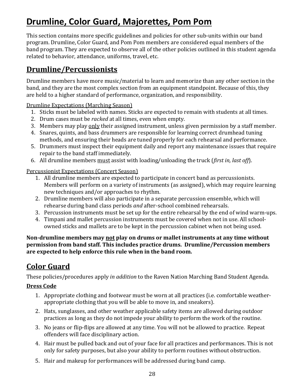# **Drumline, Color Guard, Majorettes, Pom Pom**

This section contains more specific guidelines and policies for other sub-units within our band program. Drumline, Color Guard, and Pom Pom members are considered equal members of the band program. They are expected to observe all of the other policies outlined in this student agenda related to behavior, attendance, uniforms, travel, etc.

## **Drumline/Percussionists**

Drumline members have more music/material to learn and memorize than any other section in the band, and they are the most complex section from an equipment standpoint. Because of this, they are held to a higher standard of performance, organization, and responsibility.

**Drumline Expectations (Marching Season)** 

- 1. Sticks must be labeled with names. Sticks are expected to remain with students at all times.
- 2. Drum cases must be *racked* at all times, even when empty.
- 3. Members may play only their assigned instrument, unless given permission by a staff member.
- 4. Snares, quints, and bass drummers are responsible for learning correct drumhead tuning methods, and ensuring their heads are tuned properly for each rehearsal and performance.
- 5. Drummers must inspect their equipment daily and report any maintenance issues that require repair to the band staff immediately.
- 6. All drumline members must assist with loading/unloading the truck (*first in, last off*).

Percussionist Expectations (Concert Season)

- 1. All drumline members are expected to participate in concert band as percussionists. Members will perform on a variety of instruments (as assigned), which may require learning new techniques and/or approaches to rhythm.
- 2. Drumline members will also participate in a separate percussion ensemble, which will rehearse during band class periods *and* after-school combined rehearsals.
- 3. Percussion instruments must be set up for the entire rehearsal by the end of wind warm-ups.
- 4. Timpani and mallet percussion instruments must be covered when not in use. All schoolowned sticks and mallets are to be kept in the percussion cabinet when not being used.

Non-drumline members may not play on drums or mallet instruments at any time without **permission from band staff. This includes practice drums. Drumline/Percussion members** are expected to help enforce this rule when in the band room.

## **Color Guard**

These policies/procedures apply *in addition* to the Raven Nation Marching Band Student Agenda.

#### **Dress Code**

- 1. Appropriate clothing and footwear must be worn at all practices (i.e. comfortable weatherappropriate clothing that you will be able to move in, and sneakers).
- 2. Hats, sunglasses, and other weather applicable safety items are allowed during outdoor practices as long as they do not impede your ability to perform the work of the routine.
- 3. No jeans or flip-flips are allowed at any time. You will not be allowed to practice. Repeat offenders will face disciplinary action.
- 4. Hair must be pulled back and out of your face for all practices and performances. This is not only for safety purposes, but also your ability to perform routines without obstruction.
- 5. Hair and makeup for performances will be addressed during band camp.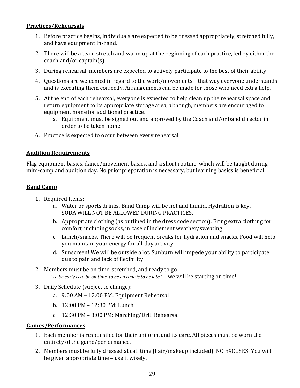#### **Practices/Rehearsals**

- 1. Before practice begins, individuals are expected to be dressed appropriately, stretched fully, and have equipment in-hand.
- 2. There will be a team stretch and warm up at the beginning of each practice, led by either the coach and/or captain(s).
- 3. During rehearsal, members are expected to actively participate to the best of their ability.
- 4. Questions are welcomed in regard to the work/movements that way everyone understands and is executing them correctly. Arrangements can be made for those who need extra help.
- 5. At the end of each rehearsal, everyone is expected to help clean up the rehearsal space and return equipment to its appropriate storage area, although, members are encouraged to equipment home for additional practice.
	- a. Equipment must be signed out and approved by the Coach and/or band director in order to be taken home.
- 6. Practice is expected to occur between every rehearsal.

#### **Audition Requirements**

Flag equipment basics, dance/movement basics, and a short routine, which will be taught during mini-camp and audition day. No prior preparation is necessary, but learning basics is beneficial.

#### **Band Camp**

- 1. Required Items:
	- a. Water or sports drinks. Band Camp will be hot and humid. Hydration is key. SODA WILL NOT BE ALLOWED DURING PRACTICES.
	- b. Appropriate clothing (as outlined in the dress code section). Bring extra clothing for comfort, including socks, in case of inclement weather/sweating.
	- c. Lunch/snacks. There will be frequent breaks for hydration and snacks. Food will help you maintain your energy for all-day activity.
	- d. Sunscreen! We will be outside a lot. Sunburn will impede your ability to participate due to pain and lack of flexibility.
- 2. Members must be on time, stretched, and ready to go. "To be early is to be on time, to be on time is to be late." – we will be starting on time!
- 3. Daily Schedule (subject to change):
	- a. 9:00 AM 12:00 PM: Equipment Rehearsal
	- b. 12:00 PM 12:30 PM: Lunch
	- c. 12:30 PM 3:00 PM: Marching/Drill Rehearsal

#### **Games/Performances**

- 1. Each member is responsible for their uniform, and its care. All pieces must be worn the entirety of the game/performance.
- 2. Members must be fully dressed at call time (hair/makeup included). NO EXCUSES! You will be given appropriate time  $-$  use it wisely.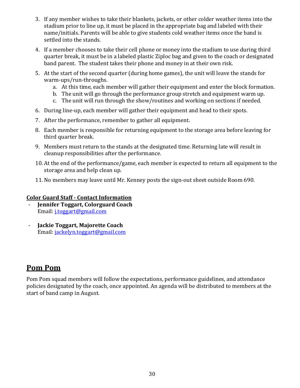- 3. If any member wishes to take their blankets, jackets, or other colder weather items into the stadium prior to line up, it must be placed in the appropriate bag and labeled with their name/initials. Parents will be able to give students cold weather items once the band is settled into the stands.
- 4. If a member chooses to take their cell phone or money into the stadium to use during third quarter break, it must be in a labeled plastic Ziploc bag and given to the coach or designated band parent. The student takes their phone and money in at their own risk.
- 5. At the start of the second quarter (during home games), the unit will leave the stands for warm-ups/run-throughs.
	- a. At this time, each member will gather their equipment and enter the block formation.
	- b. The unit will go through the performance group stretch and equipment warm up.
	- c. The unit will run through the show/routines and working on sections if needed.
- 6. During line-up, each member will gather their equipment and head to their spots.
- 7. After the performance, remember to gather all equipment.
- 8. Each member is responsible for returning equipment to the storage area before leaving for third quarter break.
- 9. Members must return to the stands at the designated time. Returning late will result in cleanup responsibilities after the performance.
- 10. At the end of the performance/game, each member is expected to return all equipment to the storage area and help clean up.
- 11. No members may leave until Mr. Kenney posts the sign-out sheet outside Room 690.

#### **Color Guard Staff - Contact Information**

- **Jennifer Toggart, Colorguard Coach** Email: *j.toggart@gmail.com*
- **Jackie Toggart, Majorette Coach** Email: jackelyn.toggart@gmail.com

## **Pom Pom**

Pom Pom squad members will follow the expectations, performance guidelines, and attendance policies designated by the coach, once appointed. An agenda will be distributed to members at the start of band camp in August.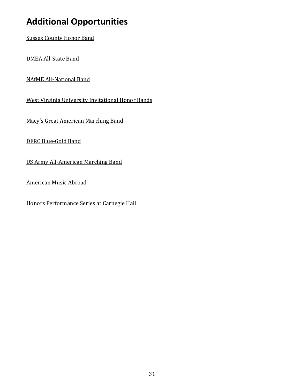# **Additional Opportunities**

**Sussex County Honor Band** 

DMEA All-State Band

**NAfME All-National Band** 

West Virginia University Invitational Honor Bands

Macy's Great American Marching Band

DFRC Blue-Gold Band

US Army All-American Marching Band

**American Music Abroad** 

Honors Performance Series at Carnegie Hall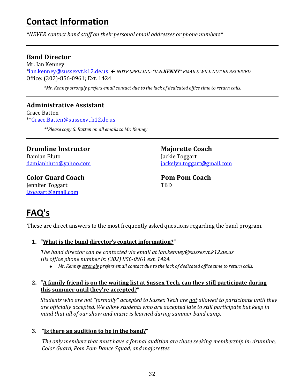# **Contact Information**

*\*NEVER contact band staff on their personal email addresses or phone numbers\**

#### **Band Director**

Mr. Ian Kenney \*ian.kenney@sussexvt.k12.de.us ß *NOTE SPELLING: "IAN.KENNY" EMAILS WILL NOT BE RECEIVED* Office: (302)-856-0961; Ext. 1424

*\*Mr. Kenney strongly prefers email contact due to the lack of dedicated office time to return calls.* 

#### **Administrative Assistant**

Grace Batten \*\*Grace.Batten@sussexvt.k12.de.us

*\*\*Please copy G. Batten on all emails to Mr. Kenney*

**Drumline Instructor** Damian Bluto damianbluto@yahoo.com

#### **Color Guard Coach** Jennifer Toggart j.toggart@gmail.com

**Majorette Coach** Jackie Toggart jackelyn.toggart@gmail.com

**Pom Pom Coach TRD** 

# **FAQ's**

These are direct answers to the most frequently asked questions regarding the band program.

#### 1. "What is the band director's contact information?"

*The band director can be contacted via email at ian.kenney@sussexvt.k12.de.us His office phone number is: (302) 856-0961 ext. 1424.* 

• *Mr. Kenney strongly prefers email contact due to the lack of dedicated office time to return calls.* 

#### 2. "A family friend is on the waiting list at Sussex Tech, can they still participate during this summer until they're accepted?"

*Students* who are not "formally" accepted to Sussex Tech are not allowed to participate until they are officially accepted. We allow students who are accepted late to still participate but keep in *mind* that all of our show and music is learned during summer band camp.

#### **3.** "Is there an audition to be in the band?"

The only members that must have a formal audition are those seeking membership in: drumline, *Color Guard, Pom Pom Dance Squad, and majorettes.*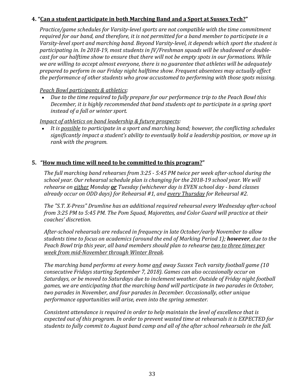#### **4.** "Can a student participate in both Marching Band and a Sport at Sussex Tech?"

*Practice/game schedules for Varsity-level sports are not compatible with the time commitment* required for our band, and therefore, it is not permitted for a band member to participate in a Varsity-level sport and marching band. Beyond Varsity-level, it depends which sport the student is participating in. In 2018-19, most students in *JV*/Freshman squads will be shadowed or double*cast for our halftime show to ensure that there will not be empty spots in our formations. While* we are willing to accept almost everyone, there is no guarantee that athletes will be adequately *prepared to perform in our Friday night halftime show. Frequent absentees may actually affect* the performance of other students who grow accustomed to performing with those spots missing.

#### *Peach Bowl participants & athletics:*

Due to the time required to fully prepare for our performance trip to the Peach Bowl this *December, it is highly recommended that band students opt to participate in a spring sport instead of a fall or winter sport.* 

*Impact of athletics on band leadership & future prospects:* 

It is possible to participate in a sport and marching band; however, the conflicting schedules significantly *impact a student's ability to eventually hold a leadership position, or move up in rank with the program.* 

#### **5.** "How much time will need to be committed to this program?"

*The full marching band rehearses from 3:25 - 5:45 PM twice per week after-school during the* school year. Our rehearsal schedule plan is changing for the 2018-19 school year. We will *rehearse on either Monday or Tuesday* (whichever day is *EVEN* school day - band classes *already occur on ODD days) for Rehearsal #1, and every Thursday for Rehearsal #2.*

The "S.T. X-Press" Drumline has an additional required rehearsal every Wednesday after-school *from* 3:25 PM to 5:45 PM. The Pom Squad, Majorettes, and Color Guard will practice at their *coaches' discretion.*

After-school rehearsals are reduced in frequency in late October/early November to allow students time to focus on academics (around the end of Marking Period 1); **however**, due to the *Peach Bowl trip this year, all band members should plan to rehearse <u>two to three times per</u> week from mid-November through Winter Break.*

*The marching band performs at every home <u>and</u> away Sussex Tech varsity football game (10 consecutive Fridays starting September 7, 2018). Games can also occasionally occur on* Saturdays, or be moved to Saturdays due to inclement weather. Outside of Friday night football games, we are anticipating that the marching band will participate in two parades in October, *two parades in November, and four parades in December. Occasionally, other unique performance opportunities will arise, even into the spring semester.* 

*Consistent attendance is required in order to help maintain the level of excellence that is* expected out of this program. In order to prevent wasted time at rehearsals it is EXPECTED for students to fully commit to August band camp and all of the after school rehearsals in the fall.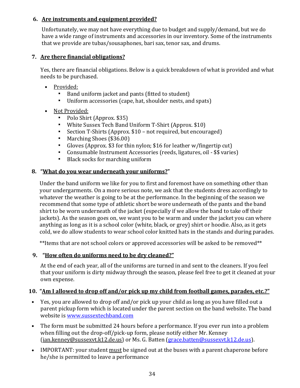#### **6.** Are instruments and equipment provided?

Unfortunately, we may not have everything due to budget and supply/demand, but we do have a wide range of instruments and accessories in our inventory. Some of the instruments that we provide are tubas/sousaphones, bari sax, tenor sax, and drums.

#### **7.** Are there financial obligations?

Yes, there are financial obligations. Below is a quick breakdown of what is provided and what needs to be purchased.

- Provided:
	- Band uniform jacket and pants (fitted to student)
	- Uniform accessories (cape, hat, shoulder nests, and spats)
- Not Provided:
	- Polo Shirt (Approx. \$35)
	- White Sussex Tech Band Uniform T-Shirt (Approx. \$10)
	- Section T-Shirts (Approx. \$10 not required, but encouraged)
	- Marching Shoes (\$36.00)
	- Gloves (Approx.  $$3$  for thin nylon;  $$16$  for leather w/fingertip cut)
	- Consumable Instrument Accessories (reeds, ligatures, oil \$\$ varies)
	- Black socks for marching uniform

#### **8.** "What do you wear underneath your uniforms?"

Under the band uniform we like for you to first and foremost have on something other than your undergarments. On a more serious note, we ask that the students dress accordingly to whatever the weather is going to be at the performance. In the beginning of the season we recommend that some type of athletic short be wore underneath of the pants and the band shirt to be worn underneath of the jacket (especially if we allow the band to take off their jackets). As the season goes on, we want you to be warm and under the jacket you can where anything as long as it is a school color (white, black, or grey) shirt or hoodie. Also, as it gets cold, we do allow students to wear school color knitted hats in the stands and during parades.

\*\*Items that are not school colors or approved accessories will be asked to be removed\*\*

#### **9.** "How often do uniforms need to be dry cleaned?"

At the end of each year, all of the uniforms are turned in and sent to the cleaners. If you feel that your uniform is dirty midway through the season, please feel free to get it cleaned at your own expense.

#### **10.** "Am I allowed to drop off and/or pick up my child from football games, parades, etc.?"

- Yes, you are allowed to drop off and/or pick up your child as long as you have filled out a parent pickup form which is located under the parent section on the band website. The band website is www.sussextechband.com
- The form must be submitted 24 hours before a performance. If you ever run into a problem when filling out the drop-off/pick-up form, please notify either Mr. Kenney (ian.kenney@sussexvt.k12.de.us) or Ms. G. Batten (grace.batten@sussexvt.k12.de.us).
- IMPORTANT: your student must be signed out at the buses with a parent chaperone before he/she is permitted to leave a performance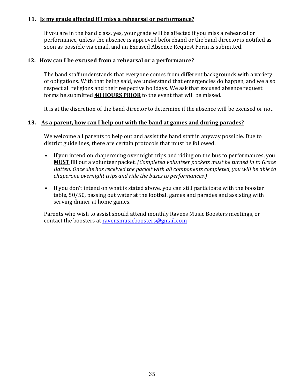#### **11.** Is my grade affected if I miss a rehearsal or performance?

If you are in the band class, yes, your grade will be affected if you miss a rehearsal or performance, unless the absence is approved beforehand or the band director is notified as soon as possible via email, and an Excused Absence Request Form is submitted.

#### **12.** How can I be excused from a rehearsal or a performance?

The band staff understands that everyone comes from different backgrounds with a variety of obligations. With that being said, we understand that emergencies do happen, and we also respect all religions and their respective holidays. We ask that excused absence request forms be submitted 48 HOURS PRIOR to the event that will be missed.

It is at the discretion of the band director to determine if the absence will be excused or not.

#### **13.** As a parent, how can I help out with the band at games and during parades?

We welcome all parents to help out and assist the band staff in anyway possible. Due to district guidelines, there are certain protocols that must be followed.

- If you intend on chaperoning over night trips and riding on the bus to performances, you **MUST** fill out a volunteer packet. *(Completed volunteer packets must be turned in to Grace Batten.* Once she has received the packet with all components completed, you will be able to *chaperone overnight trips and ride the buses to performances.)*
- If you don't intend on what is stated above, you can still participate with the booster table, 50/50, passing out water at the football games and parades and assisting with serving dinner at home games.

Parents who wish to assist should attend monthly Ravens Music Boosters meetings, or contact the boosters at ravensmusicboosters@gmail.com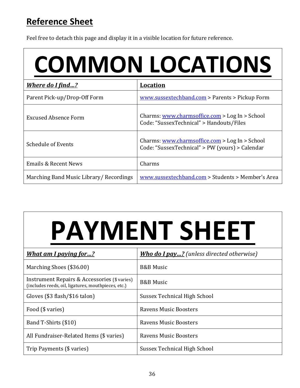# **Reference Sheet**

Feel free to detach this page and display it in a visible location for future reference.

# **COMMON LOCATIONS**

| <b>Where do I find?</b>                | <b>Location</b>                                                                                   |
|----------------------------------------|---------------------------------------------------------------------------------------------------|
| Parent Pick-up/Drop-Off Form           | www.sussextechband.com > Parents > Pickup Form                                                    |
| Excused Absence Form                   | Charms: www.charmsoffice.com > Log In > School<br>Code: "SussexTechnical" > Handouts/Files        |
| <b>Schedule of Events</b>              | Charms: www.charmsoffice.com > Log In > School<br>Code: "SussexTechnical" > PW (yours) > Calendar |
| <b>Emails &amp; Recent News</b>        | Charms                                                                                            |
| Marching Band Music Library/Recordings | www.sussextechband.com > Students > Member's Area                                                 |

# **PAYMENT SHEET**

| <b>What am I paying for?</b>                                                                        | <b>Who do I pay?</b> (unless directed otherwise) |
|-----------------------------------------------------------------------------------------------------|--------------------------------------------------|
| Marching Shoes (\$36.00)                                                                            | <b>B&amp;B</b> Music                             |
| Instrument Repairs & Accessories (\$ varies)<br>(includes reeds, oil, ligatures, mouthpieces, etc.) | <b>B&amp;B</b> Music                             |
| Gloves (\$3 flash/\$16 talon)                                                                       | Sussex Technical High School                     |
| Food (\$ varies)                                                                                    | <b>Ravens Music Boosters</b>                     |
| Band T-Shirts (\$10)                                                                                | <b>Ravens Music Boosters</b>                     |
| All Fundraiser-Related Items (\$ varies)                                                            | <b>Ravens Music Boosters</b>                     |
| Trip Payments (\$ varies)                                                                           | Sussex Technical High School                     |